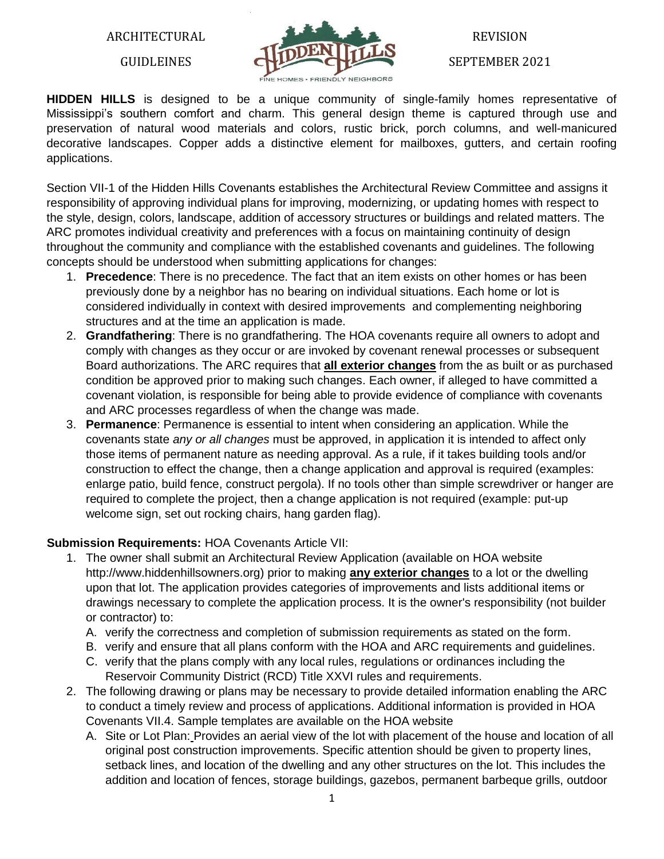ARCHITECTURAL

GUIDLEINES

![](_page_0_Picture_2.jpeg)

# REVISION

SEPTEMBER 2021

**HIDDEN HILLS** is designed to be a unique community of single-family homes representative of Mississippi's southern comfort and charm. This general design theme is captured through use and preservation of natural wood materials and colors, rustic brick, porch columns, and well-manicured decorative landscapes. Copper adds a distinctive element for mailboxes, gutters, and certain roofing applications.

Section VII-1 of the Hidden Hills Covenants establishes the Architectural Review Committee and assigns it responsibility of approving individual plans for improving, modernizing, or updating homes with respect to the style, design, colors, landscape, addition of accessory structures or buildings and related matters. The ARC promotes individual creativity and preferences with a focus on maintaining continuity of design throughout the community and compliance with the established covenants and guidelines. The following concepts should be understood when submitting applications for changes:

- 1. **Precedence**: There is no precedence. The fact that an item exists on other homes or has been previously done by a neighbor has no bearing on individual situations. Each home or lot is considered individually in context with desired improvements and complementing neighboring structures and at the time an application is made.
- 2. **Grandfathering**: There is no grandfathering. The HOA covenants require all owners to adopt and comply with changes as they occur or are invoked by covenant renewal processes or subsequent Board authorizations. The ARC requires that **all exterior changes** from the as built or as purchased condition be approved prior to making such changes. Each owner, if alleged to have committed a covenant violation, is responsible for being able to provide evidence of compliance with covenants and ARC processes regardless of when the change was made.
- 3. **Permanence**: Permanence is essential to intent when considering an application. While the covenants state *any or all changes* must be approved, in application it is intended to affect only those items of permanent nature as needing approval. As a rule, if it takes building tools and/or construction to effect the change, then a change application and approval is required (examples: enlarge patio, build fence, construct pergola). If no tools other than simple screwdriver or hanger are required to complete the project, then a change application is not required (example: put-up welcome sign, set out rocking chairs, hang garden flag).

## **Submission Requirements:** HOA Covenants Article VII:

- 1. The owner shall submit an Architectural Review Application (available on HOA website http://www.hiddenhillsowners.org) prior to making **any exterior changes** to a lot or the dwelling upon that lot. The application provides categories of improvements and lists additional items or drawings necessary to complete the application process. It is the owner's responsibility (not builder or contractor) to:
	- A. verify the correctness and completion of submission requirements as stated on the form.
	- B. verify and ensure that all plans conform with the HOA and ARC requirements and guidelines.
	- C. verify that the plans comply with any local rules, regulations or ordinances including the Reservoir Community District (RCD) Title XXVI rules and requirements.
- 2. The following drawing or plans may be necessary to provide detailed information enabling the ARC to conduct a timely review and process of applications. Additional information is provided in HOA Covenants VII.4. Sample templates are available on the HOA website
	- A. Site or Lot Plan: Provides an aerial view of the lot with placement of the house and location of all original post construction improvements. Specific attention should be given to property lines, setback lines, and location of the dwelling and any other structures on the lot. This includes the addition and location of fences, storage buildings, gazebos, permanent barbeque grills, outdoor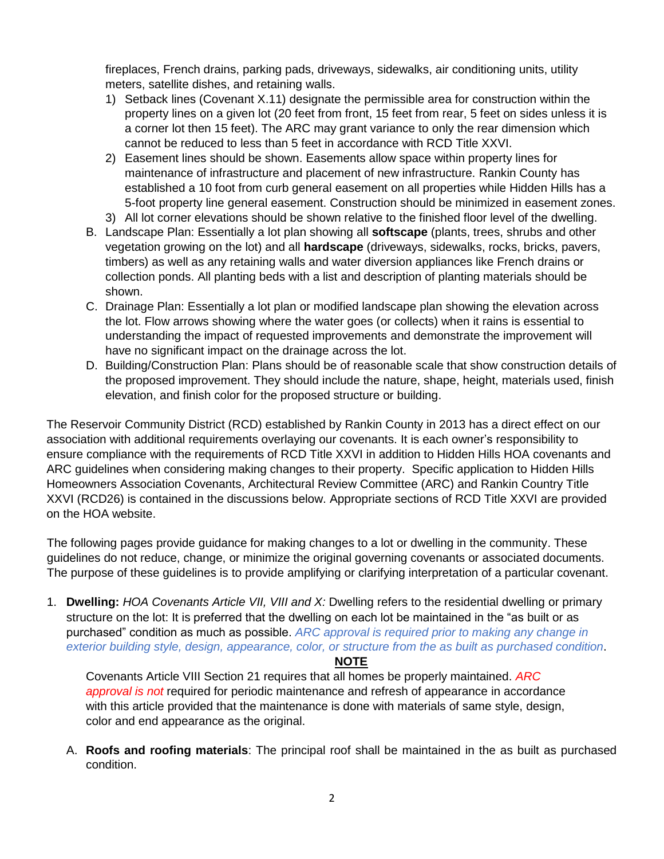fireplaces, French drains, parking pads, driveways, sidewalks, air conditioning units, utility meters, satellite dishes, and retaining walls.

- 1) Setback lines (Covenant X.11) designate the permissible area for construction within the property lines on a given lot (20 feet from front, 15 feet from rear, 5 feet on sides unless it is a corner lot then 15 feet). The ARC may grant variance to only the rear dimension which cannot be reduced to less than 5 feet in accordance with RCD Title XXVI.
- 2) Easement lines should be shown. Easements allow space within property lines for maintenance of infrastructure and placement of new infrastructure. Rankin County has established a 10 foot from curb general easement on all properties while Hidden Hills has a 5-foot property line general easement. Construction should be minimized in easement zones.
- 3) All lot corner elevations should be shown relative to the finished floor level of the dwelling.
- B. Landscape Plan: Essentially a lot plan showing all **softscape** (plants, trees, shrubs and other vegetation growing on the lot) and all **hardscape** (driveways, sidewalks, rocks, bricks, pavers, timbers) as well as any retaining walls and water diversion appliances like French drains or collection ponds. All planting beds with a list and description of planting materials should be shown.
- C. Drainage Plan: Essentially a lot plan or modified landscape plan showing the elevation across the lot. Flow arrows showing where the water goes (or collects) when it rains is essential to understanding the impact of requested improvements and demonstrate the improvement will have no significant impact on the drainage across the lot.
- D. Building/Construction Plan: Plans should be of reasonable scale that show construction details of the proposed improvement. They should include the nature, shape, height, materials used, finish elevation, and finish color for the proposed structure or building.

The Reservoir Community District (RCD) established by Rankin County in 2013 has a direct effect on our association with additional requirements overlaying our covenants. It is each owner's responsibility to ensure compliance with the requirements of RCD Title XXVI in addition to Hidden Hills HOA covenants and ARC guidelines when considering making changes to their property. Specific application to Hidden Hills Homeowners Association Covenants, Architectural Review Committee (ARC) and Rankin Country Title XXVI (RCD26) is contained in the discussions below. Appropriate sections of RCD Title XXVI are provided on the HOA website.

The following pages provide guidance for making changes to a lot or dwelling in the community. These guidelines do not reduce, change, or minimize the original governing covenants or associated documents. The purpose of these guidelines is to provide amplifying or clarifying interpretation of a particular covenant.

1. **Dwelling:** *HOA Covenants Article VII, VIII and X:* Dwelling refers to the residential dwelling or primary structure on the lot: It is preferred that the dwelling on each lot be maintained in the "as built or as purchased" condition as much as possible. *ARC approval is required prior to making any change in exterior building style, design, appearance, color, or structure from the as built as purchased condition*.

### **NOTE**

Covenants Article VIII Section 21 requires that all homes be properly maintained. *ARC approval is not* required for periodic maintenance and refresh of appearance in accordance with this article provided that the maintenance is done with materials of same style, design, color and end appearance as the original.

A. **Roofs and roofing materials**: The principal roof shall be maintained in the as built as purchased condition.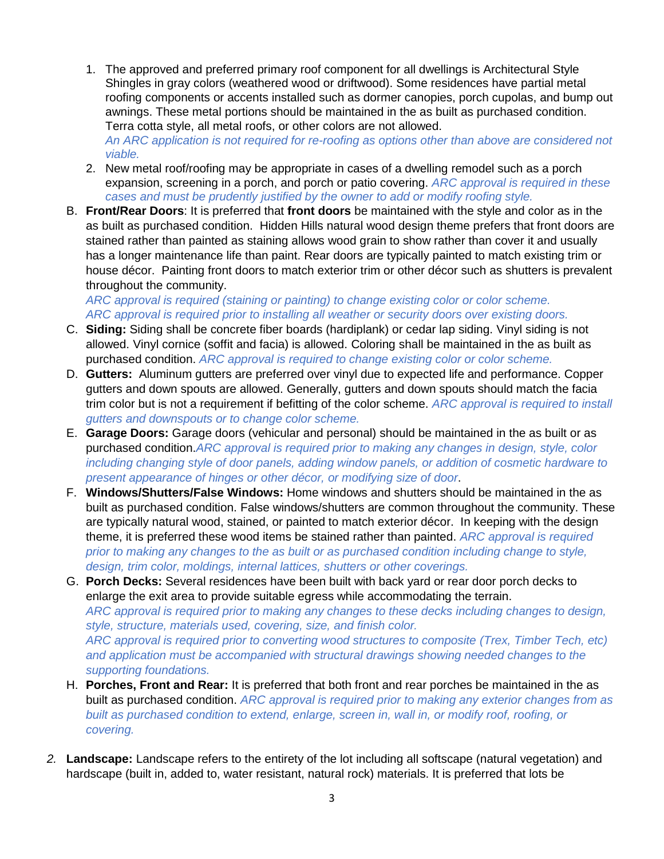- 1. The approved and preferred primary roof component for all dwellings is Architectural Style Shingles in gray colors (weathered wood or driftwood). Some residences have partial metal roofing components or accents installed such as dormer canopies, porch cupolas, and bump out awnings. These metal portions should be maintained in the as built as purchased condition. Terra cotta style, all metal roofs, or other colors are not allowed. *An ARC application is not required for re-roofing as options other than above are considered not viable.*
- 2. New metal roof/roofing may be appropriate in cases of a dwelling remodel such as a porch expansion, screening in a porch, and porch or patio covering. *ARC approval is required in these cases and must be prudently justified by the owner to add or modify roofing style.*
- B. **Front/Rear Doors**: It is preferred that **front doors** be maintained with the style and color as in the as built as purchased condition. Hidden Hills natural wood design theme prefers that front doors are stained rather than painted as staining allows wood grain to show rather than cover it and usually has a longer maintenance life than paint. Rear doors are typically painted to match existing trim or house décor. Painting front doors to match exterior trim or other décor such as shutters is prevalent throughout the community.

*ARC approval is required (staining or painting) to change existing color or color scheme. ARC approval is required prior to installing all weather or security doors over existing doors.*

- C. **Siding:** Siding shall be concrete fiber boards (hardiplank) or cedar lap siding. Vinyl siding is not allowed. Vinyl cornice (soffit and facia) is allowed. Coloring shall be maintained in the as built as purchased condition. *ARC approval is required to change existing color or color scheme.*
- D. **Gutters:** Aluminum gutters are preferred over vinyl due to expected life and performance. Copper gutters and down spouts are allowed. Generally, gutters and down spouts should match the facia trim color but is not a requirement if befitting of the color scheme. *ARC approval is required to install gutters and downspouts or to change color scheme.*
- E. **Garage Doors:** Garage doors (vehicular and personal) should be maintained in the as built or as purchased condition.*ARC approval is required prior to making any changes in design, style, color including changing style of door panels, adding window panels, or addition of cosmetic hardware to present appearance of hinges or other décor, or modifying size of door*.
- F. **Windows/Shutters/False Windows:** Home windows and shutters should be maintained in the as built as purchased condition. False windows/shutters are common throughout the community. These are typically natural wood, stained, or painted to match exterior décor.In keeping with the design theme, it is preferred these wood items be stained rather than painted. *ARC approval is required prior to making any changes to the as built or as purchased condition including change to style, design, trim color, moldings, internal lattices, shutters or other coverings.*
- G. **Porch Decks:** Several residences have been built with back yard or rear door porch decks to enlarge the exit area to provide suitable egress while accommodating the terrain. *ARC approval is required prior to making any changes to these decks including changes to design, style, structure, materials used, covering, size, and finish color. ARC approval is required prior to converting wood structures to composite (Trex, Timber Tech, etc) and application must be accompanied with structural drawings showing needed changes to the supporting foundations.*
- H. **Porches, Front and Rear:** It is preferred that both front and rear porches be maintained in the as built as purchased condition. *ARC approval is required prior to making any exterior changes from as built as purchased condition to extend, enlarge, screen in, wall in, or modify roof, roofing, or covering.*
- *2.* **Landscape:** Landscape refers to the entirety of the lot including all softscape (natural vegetation) and hardscape (built in, added to, water resistant, natural rock) materials. It is preferred that lots be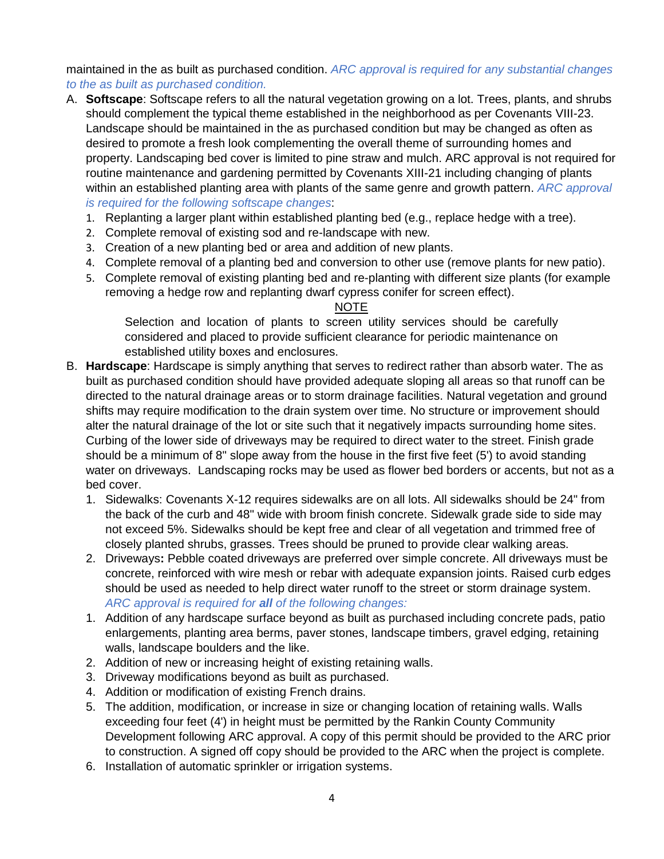maintained in the as built as purchased condition. *ARC approval is required for any substantial changes to the as built as purchased condition.*

- A. **Softscape**: Softscape refers to all the natural vegetation growing on a lot. Trees, plants, and shrubs should complement the typical theme established in the neighborhood as per Covenants VIII-23. Landscape should be maintained in the as purchased condition but may be changed as often as desired to promote a fresh look complementing the overall theme of surrounding homes and property. Landscaping bed cover is limited to pine straw and mulch. ARC approval is not required for routine maintenance and gardening permitted by Covenants XIII-21 including changing of plants within an established planting area with plants of the same genre and growth pattern. *ARC approval is required for the following softscape changes*:
	- 1. Replanting a larger plant within established planting bed (e.g., replace hedge with a tree).
	- 2. Complete removal of existing sod and re-landscape with new.
	- 3. Creation of a new planting bed or area and addition of new plants.
	- 4. Complete removal of a planting bed and conversion to other use (remove plants for new patio).
	- 5. Complete removal of existing planting bed and re-planting with different size plants (for example removing a hedge row and replanting dwarf cypress conifer for screen effect).

#### NOTE

Selection and location of plants to screen utility services should be carefully considered and placed to provide sufficient clearance for periodic maintenance on established utility boxes and enclosures.

- B. **Hardscape**: Hardscape is simply anything that serves to redirect rather than absorb water. The as built as purchased condition should have provided adequate sloping all areas so that runoff can be directed to the natural drainage areas or to storm drainage facilities. Natural vegetation and ground shifts may require modification to the drain system over time. No structure or improvement should alter the natural drainage of the lot or site such that it negatively impacts surrounding home sites. Curbing of the lower side of driveways may be required to direct water to the street. Finish grade should be a minimum of 8" slope away from the house in the first five feet (5') to avoid standing water on driveways. Landscaping rocks may be used as flower bed borders or accents, but not as a bed cover.
	- 1. Sidewalks: Covenants X-12 requires sidewalks are on all lots. All sidewalks should be 24" from the back of the curb and 48" wide with broom finish concrete. Sidewalk grade side to side may not exceed 5%. Sidewalks should be kept free and clear of all vegetation and trimmed free of closely planted shrubs, grasses. Trees should be pruned to provide clear walking areas.
	- 2. Driveways**:** Pebble coated driveways are preferred over simple concrete. All driveways must be concrete, reinforced with wire mesh or rebar with adequate expansion joints. Raised curb edges should be used as needed to help direct water runoff to the street or storm drainage system. *ARC approval is required for all of the following changes:*
	- 1. Addition of any hardscape surface beyond as built as purchased including concrete pads, patio enlargements, planting area berms, paver stones, landscape timbers, gravel edging, retaining walls, landscape boulders and the like.
	- 2. Addition of new or increasing height of existing retaining walls.
	- 3. Driveway modifications beyond as built as purchased.
	- 4. Addition or modification of existing French drains.
	- 5. The addition, modification, or increase in size or changing location of retaining walls. Walls exceeding four feet (4') in height must be permitted by the Rankin County Community Development following ARC approval. A copy of this permit should be provided to the ARC prior to construction. A signed off copy should be provided to the ARC when the project is complete.
	- 6. Installation of automatic sprinkler or irrigation systems.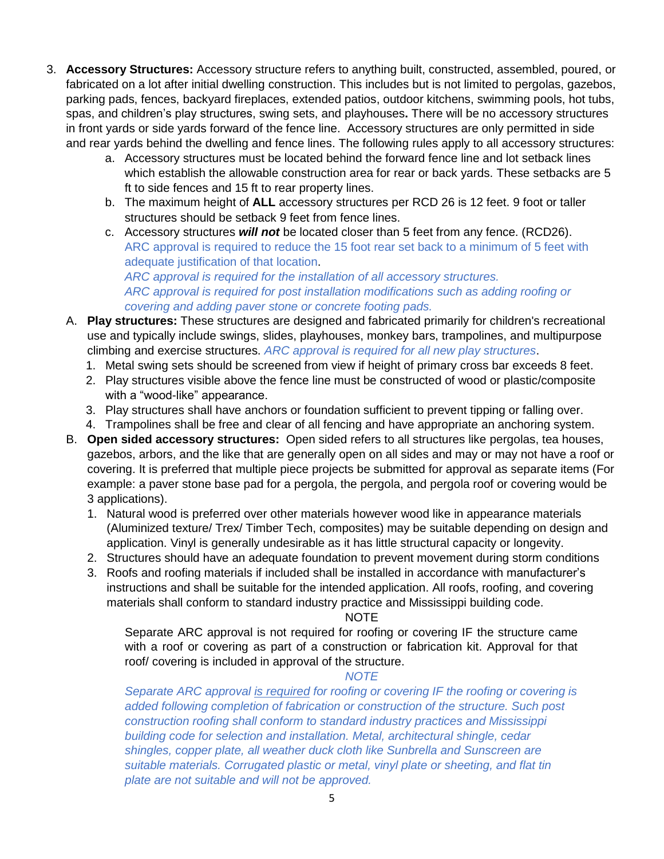- 3. **Accessory Structures:** Accessory structure refers to anything built, constructed, assembled, poured, or fabricated on a lot after initial dwelling construction. This includes but is not limited to pergolas, gazebos, parking pads, fences, backyard fireplaces, extended patios, outdoor kitchens, swimming pools, hot tubs, spas, and children's play structures, swing sets, and playhouses**.** There will be no accessory structures in front yards or side yards forward of the fence line. Accessory structures are only permitted in side and rear yards behind the dwelling and fence lines. The following rules apply to all accessory structures:
	- a. Accessory structures must be located behind the forward fence line and lot setback lines which establish the allowable construction area for rear or back yards. These setbacks are 5 ft to side fences and 15 ft to rear property lines.
	- b. The maximum height of **ALL** accessory structures per RCD 26 is 12 feet. 9 foot or taller structures should be setback 9 feet from fence lines.
	- c. Accessory structures *will not* be located closer than 5 feet from any fence. (RCD26). ARC approval is required to reduce the 15 foot rear set back to a minimum of 5 feet with adequate justification of that location. *ARC approval is required for the installation of all accessory structures. ARC approval is required for post installation modifications such as adding roofing or covering and adding paver stone or concrete footing pads.*
	- A. **Play structures:** These structures are designed and fabricated primarily for children's recreational use and typically include swings, slides, playhouses, monkey bars, trampolines, and multipurpose climbing and exercise structures. *ARC approval is required for all new play structures*.
		- 1. Metal swing sets should be screened from view if height of primary cross bar exceeds 8 feet.
		- 2. Play structures visible above the fence line must be constructed of wood or plastic/composite with a "wood-like" appearance.
		- 3. Play structures shall have anchors or foundation sufficient to prevent tipping or falling over.
		- 4. Trampolines shall be free and clear of all fencing and have appropriate an anchoring system.
	- B. **Open sided accessory structures:** Open sided refers to all structures like pergolas, tea houses, gazebos, arbors, and the like that are generally open on all sides and may or may not have a roof or covering. It is preferred that multiple piece projects be submitted for approval as separate items (For example: a paver stone base pad for a pergola, the pergola, and pergola roof or covering would be 3 applications).
		- 1. Natural wood is preferred over other materials however wood like in appearance materials (Aluminized texture/ Trex/ Timber Tech, composites) may be suitable depending on design and application. Vinyl is generally undesirable as it has little structural capacity or longevity.
		- 2. Structures should have an adequate foundation to prevent movement during storm conditions
		- 3. Roofs and roofing materials if included shall be installed in accordance with manufacturer's instructions and shall be suitable for the intended application. All roofs, roofing, and covering materials shall conform to standard industry practice and Mississippi building code.

#### NOTE

Separate ARC approval is not required for roofing or covering IF the structure came with a roof or covering as part of a construction or fabrication kit. Approval for that roof/ covering is included in approval of the structure.

#### *NOTE*

*Separate ARC approval is required for roofing or covering IF the roofing or covering is added following completion of fabrication or construction of the structure. Such post construction roofing shall conform to standard industry practices and Mississippi building code for selection and installation. Metal, architectural shingle, cedar shingles, copper plate, all weather duck cloth like Sunbrella and Sunscreen are suitable materials. Corrugated plastic or metal, vinyl plate or sheeting, and flat tin plate are not suitable and will not be approved.*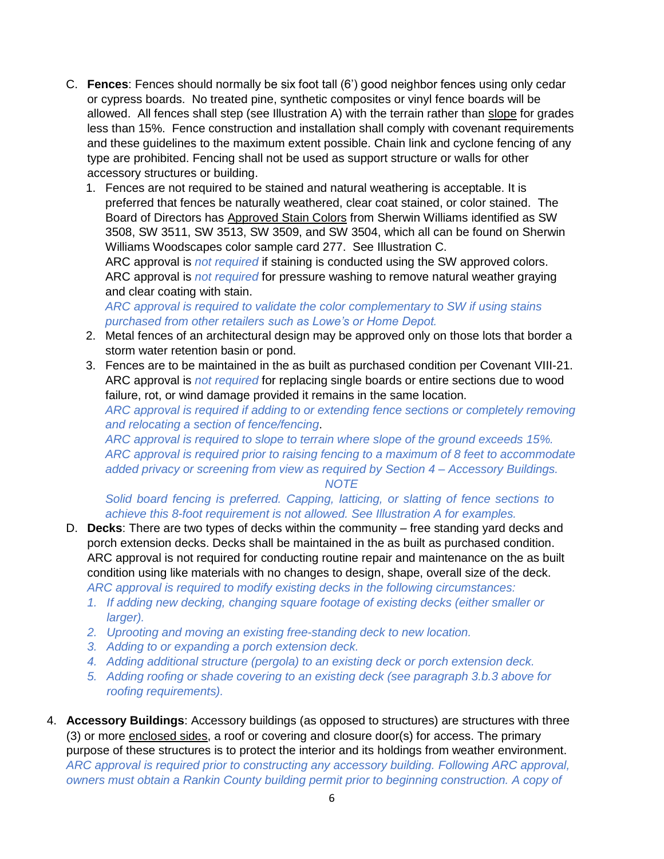- C. **Fences**: Fences should normally be six foot tall (6') good neighbor fences using only cedar or cypress boards. No treated pine, synthetic composites or vinyl fence boards will be allowed. All fences shall step (see Illustration A) with the terrain rather than slope for grades less than 15%. Fence construction and installation shall comply with covenant requirements and these guidelines to the maximum extent possible. Chain link and cyclone fencing of any type are prohibited. Fencing shall not be used as support structure or walls for other accessory structures or building.
	- 1. Fences are not required to be stained and natural weathering is acceptable. It is preferred that fences be naturally weathered, clear coat stained, or color stained. The Board of Directors has Approved Stain Colors from Sherwin Williams identified as SW 3508, SW 3511, SW 3513, SW 3509, and SW 3504, which all can be found on Sherwin Williams Woodscapes color sample card 277. See Illustration C. ARC approval is *not required* if staining is conducted using the SW approved colors.

ARC approval is *not required* for pressure washing to remove natural weather graying and clear coating with stain.

*ARC approval is required to validate the color complementary to SW if using stains purchased from other retailers such as Lowe's or Home Depot.*

- 2. Metal fences of an architectural design may be approved only on those lots that border a storm water retention basin or pond.
- 3. Fences are to be maintained in the as built as purchased condition per Covenant VIII-21. ARC approval is *not required* for replacing single boards or entire sections due to wood failure, rot, or wind damage provided it remains in the same location.

*ARC approval is required if adding to or extending fence sections or completely removing and relocating a section of fence/fencing*.

*ARC approval is required to slope to terrain where slope of the ground exceeds 15%. ARC approval is required prior to raising fencing to a maximum of 8 feet to accommodate added privacy or screening from view as required by Section 4 – Accessory Buildings. NOTE*

*Solid board fencing is preferred. Capping, latticing, or slatting of fence sections to achieve this 8-foot requirement is not allowed. See Illustration A for examples.*

- D. **Decks**: There are two types of decks within the community free standing yard decks and porch extension decks. Decks shall be maintained in the as built as purchased condition. ARC approval is not required for conducting routine repair and maintenance on the as built condition using like materials with no changes to design, shape, overall size of the deck. *ARC approval is required to modify existing decks in the following circumstances:*
	- *1. If adding new decking, changing square footage of existing decks (either smaller or larger).*
	- *2. Uprooting and moving an existing free-standing deck to new location.*
	- *3. Adding to or expanding a porch extension deck.*
	- *4. Adding additional structure (pergola) to an existing deck or porch extension deck.*
	- *5. Adding roofing or shade covering to an existing deck (see paragraph 3.b.3 above for roofing requirements).*
- 4. **Accessory Buildings**: Accessory buildings (as opposed to structures) are structures with three (3) or more enclosed sides, a roof or covering and closure door(s) for access. The primary purpose of these structures is to protect the interior and its holdings from weather environment. *ARC approval is required prior to constructing any accessory building. Following ARC approval, owners must obtain a Rankin County building permit prior to beginning construction. A copy of*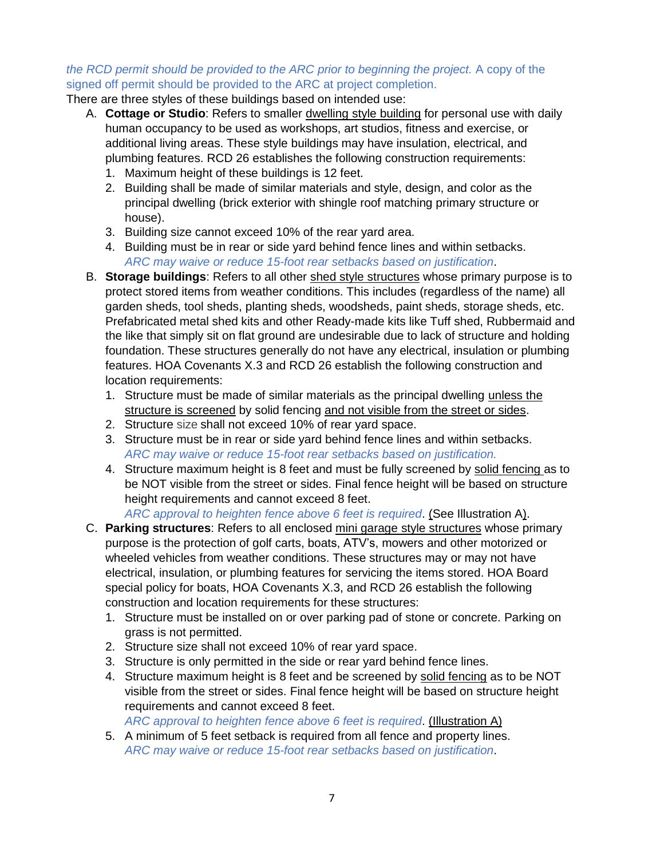### *the RCD permit should be provided to the ARC prior to beginning the project.* A copy of the signed off permit should be provided to the ARC at project completion.

There are three styles of these buildings based on intended use:

- A. **Cottage or Studio**: Refers to smaller dwelling style building for personal use with daily human occupancy to be used as workshops, art studios, fitness and exercise, or additional living areas. These style buildings may have insulation, electrical, and plumbing features. RCD 26 establishes the following construction requirements:
	- 1. Maximum height of these buildings is 12 feet.
	- 2. Building shall be made of similar materials and style, design, and color as the principal dwelling (brick exterior with shingle roof matching primary structure or house).
	- 3. Building size cannot exceed 10% of the rear yard area.
	- 4. Building must be in rear or side yard behind fence lines and within setbacks. *ARC may waive or reduce 15-foot rear setbacks based on justification*.
- B. **Storage buildings**: Refers to all other shed style structures whose primary purpose is to protect stored items from weather conditions. This includes (regardless of the name) all garden sheds, tool sheds, planting sheds, woodsheds, paint sheds, storage sheds, etc. Prefabricated metal shed kits and other Ready-made kits like Tuff shed, Rubbermaid and the like that simply sit on flat ground are undesirable due to lack of structure and holding foundation. These structures generally do not have any electrical, insulation or plumbing features. HOA Covenants X.3 and RCD 26 establish the following construction and location requirements:
	- 1. Structure must be made of similar materials as the principal dwelling unless the structure is screened by solid fencing and not visible from the street or sides.
	- 2. Structure size shall not exceed 10% of rear yard space.
	- 3. Structure must be in rear or side yard behind fence lines and within setbacks. *ARC may waive or reduce 15-foot rear setbacks based on justification.*
	- 4. Structure maximum height is 8 feet and must be fully screened by solid fencing as to be NOT visible from the street or sides. Final fence height will be based on structure height requirements and cannot exceed 8 feet.

*ARC approval to heighten fence above 6 feet is required*. (See Illustration A).

- C. **Parking structures**: Refers to all enclosed mini garage style structures whose primary purpose is the protection of golf carts, boats, ATV's, mowers and other motorized or wheeled vehicles from weather conditions. These structures may or may not have electrical, insulation, or plumbing features for servicing the items stored. HOA Board special policy for boats, HOA Covenants X.3, and RCD 26 establish the following construction and location requirements for these structures:
	- 1. Structure must be installed on or over parking pad of stone or concrete. Parking on grass is not permitted.
	- 2. Structure size shall not exceed 10% of rear yard space.
	- 3. Structure is only permitted in the side or rear yard behind fence lines.
	- 4. Structure maximum height is 8 feet and be screened by solid fencing as to be NOT visible from the street or sides. Final fence height will be based on structure height requirements and cannot exceed 8 feet. *ARC approval to heighten fence above 6 feet is required*. (Illustration A)
	- 5. A minimum of 5 feet setback is required from all fence and property lines. *ARC may waive or reduce 15-foot rear setbacks based on justification*.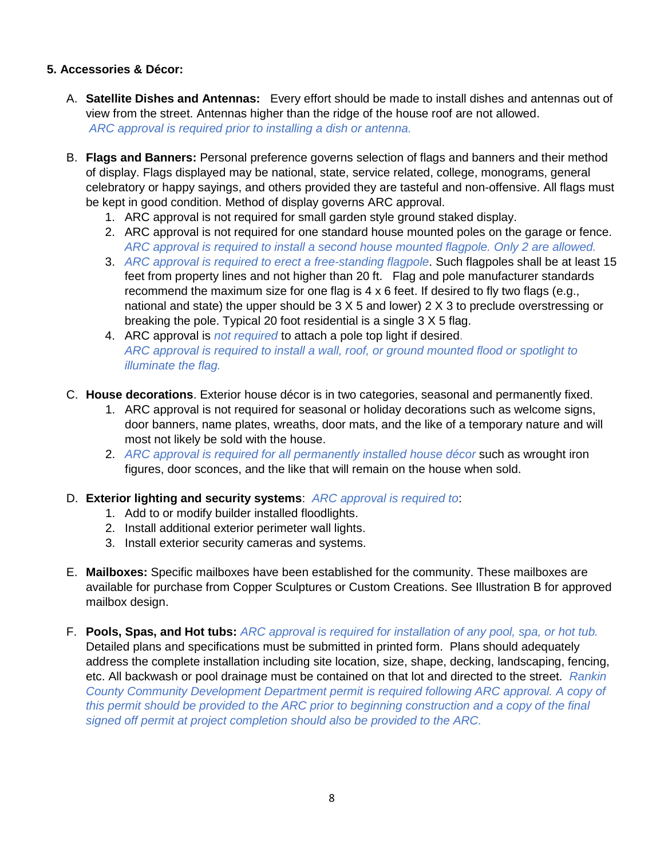# **5. Accessories & Décor:**

- A. **Satellite Dishes and Antennas:** Every effort should be made to install dishes and antennas out of view from the street. Antennas higher than the ridge of the house roof are not allowed. *ARC approval is required prior to installing a dish or antenna.*
- B. **Flags and Banners:** Personal preference governs selection of flags and banners and their method of display. Flags displayed may be national, state, service related, college, monograms, general celebratory or happy sayings, and others provided they are tasteful and non-offensive. All flags must be kept in good condition. Method of display governs ARC approval.
	- 1. ARC approval is not required for small garden style ground staked display.
	- 2. ARC approval is not required for one standard house mounted poles on the garage or fence. *ARC approval is required to install a second house mounted flagpole. Only 2 are allowed.*
	- 3. *ARC approval is required to erect a free-standing flagpole*. Such flagpoles shall be at least 15 feet from property lines and not higher than 20 ft. Flag and pole manufacturer standards recommend the maximum size for one flag is  $4 \times 6$  feet. If desired to fly two flags (e.g., national and state) the upper should be 3 X 5 and lower) 2 X 3 to preclude overstressing or breaking the pole. Typical 20 foot residential is a single 3 X 5 flag.
	- 4. ARC approval is *not required* to attach a pole top light if desired. *ARC approval is required to install a wall, roof, or ground mounted flood or spotlight to illuminate the flag.*
- C. **House decorations**. Exterior house décor is in two categories, seasonal and permanently fixed.
	- 1. ARC approval is not required for seasonal or holiday decorations such as welcome signs, door banners, name plates, wreaths, door mats, and the like of a temporary nature and will most not likely be sold with the house.
	- 2. *ARC approval is required for all permanently installed house décor* such as wrought iron figures, door sconces, and the like that will remain on the house when sold.

## D. **Exterior lighting and security systems**: *ARC approval is required to*:

- 1. Add to or modify builder installed floodlights.
- 2. Install additional exterior perimeter wall lights.
- 3. Install exterior security cameras and systems.
- E. **Mailboxes:** Specific mailboxes have been established for the community. These mailboxes are available for purchase from Copper Sculptures or Custom Creations. See Illustration B for approved mailbox design.
- F. **Pools, Spas, and Hot tubs:** *ARC approval is required for installation of any pool, spa, or hot tub.*  Detailed plans and specifications must be submitted in printed form. Plans should adequately address the complete installation including site location, size, shape, decking, landscaping, fencing, etc. All backwash or pool drainage must be contained on that lot and directed to the street. *Rankin County Community Development Department permit is required following ARC approval. A copy of this permit should be provided to the ARC prior to beginning construction and a copy of the final signed off permit at project completion should also be provided to the ARC.*